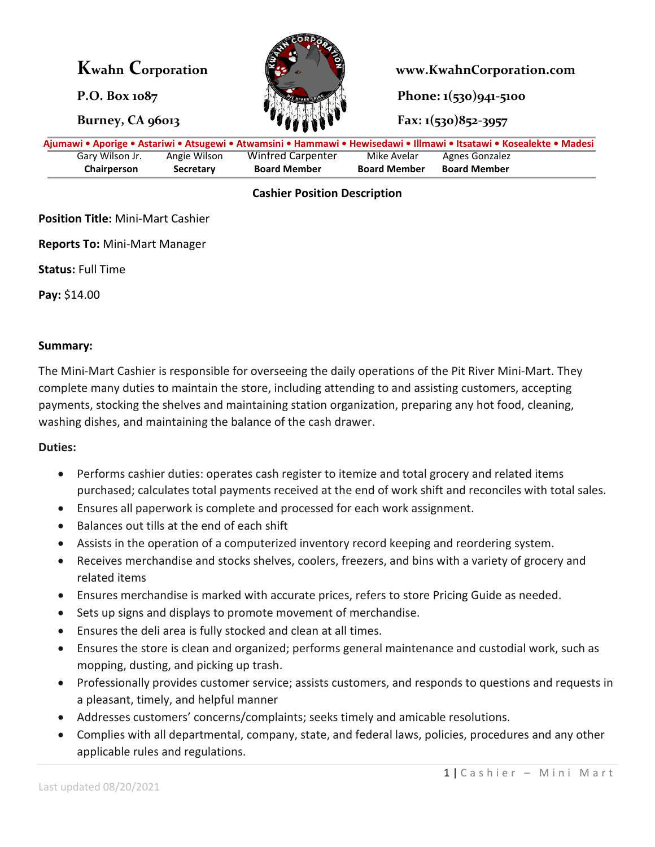

**Kwahn Corporation www.KwahnCorporation.com**

**P.O. Box 1087 Phone: 1(530)941-5100** 

**Burney, CA 96013 Fax: 1(530)852-3957** 

| Ajumawi • Aporige • Astariwi • Atsugewi • Atwamsini • Hammawi • Hewisedawi • Illmawi • Itsatawi • Kosealekte • Madesi |              |                     |                     |                     |  |
|-----------------------------------------------------------------------------------------------------------------------|--------------|---------------------|---------------------|---------------------|--|
| Gary Wilson Jr.                                                                                                       | Angie Wilson | Winfred Carpenter   | Mike Avelar         | Agnes Gonzalez      |  |
| Chairperson                                                                                                           | Secretary    | <b>Board Member</b> | <b>Board Member</b> | <b>Board Member</b> |  |

# **Cashier Position Description**

# **Position Title:** Mini-Mart Cashier

**Reports To:** Mini-Mart Manager

**Status:** Full Time

**Pay:** \$14.00

### **Summary:**

The Mini-Mart Cashier is responsible for overseeing the daily operations of the Pit River Mini-Mart. They complete many duties to maintain the store, including attending to and assisting customers, accepting payments, stocking the shelves and maintaining station organization, preparing any hot food, cleaning, washing dishes, and maintaining the balance of the cash drawer.

#### **Duties:**

- Performs cashier duties: operates cash register to itemize and total grocery and related items purchased; calculates total payments received at the end of work shift and reconciles with total sales.
- Ensures all paperwork is complete and processed for each work assignment.
- Balances out tills at the end of each shift
- Assists in the operation of a computerized inventory record keeping and reordering system.
- Receives merchandise and stocks shelves, coolers, freezers, and bins with a variety of grocery and related items
- Ensures merchandise is marked with accurate prices, refers to store Pricing Guide as needed.
- Sets up signs and displays to promote movement of merchandise.
- Ensures the deli area is fully stocked and clean at all times.
- Ensures the store is clean and organized; performs general maintenance and custodial work, such as mopping, dusting, and picking up trash.
- Professionally provides customer service; assists customers, and responds to questions and requests in a pleasant, timely, and helpful manner
- Addresses customers' concerns/complaints; seeks timely and amicable resolutions.
- Complies with all departmental, company, state, and federal laws, policies, procedures and any other applicable rules and regulations.